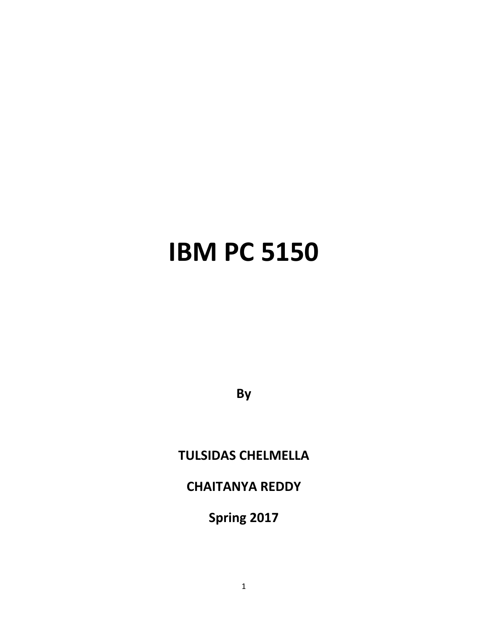# **IBM PC 5150**

**By**

# **TULSIDAS CHELMELLA**

## **CHAITANYA REDDY**

**Spring 2017**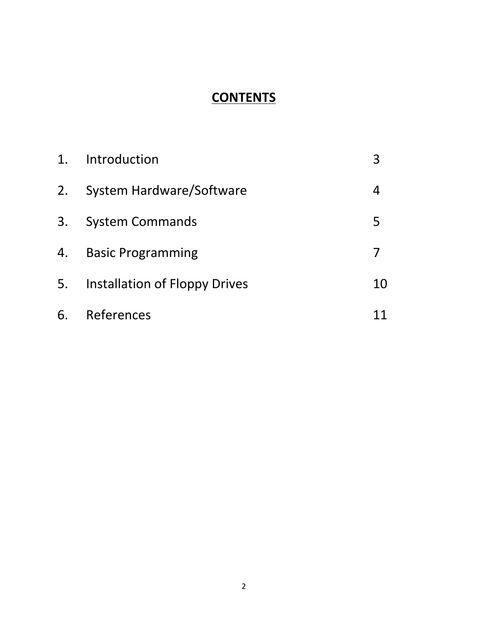# **CONTENTS**

| 1 <sub>1</sub> | Introduction                  |    |
|----------------|-------------------------------|----|
| 2.             | System Hardware/Software      | 4  |
| 3.             | <b>System Commands</b>        | 5  |
| 4.             | <b>Basic Programming</b>      |    |
| 5.             | Installation of Floppy Drives | 10 |
| 6.             | References                    |    |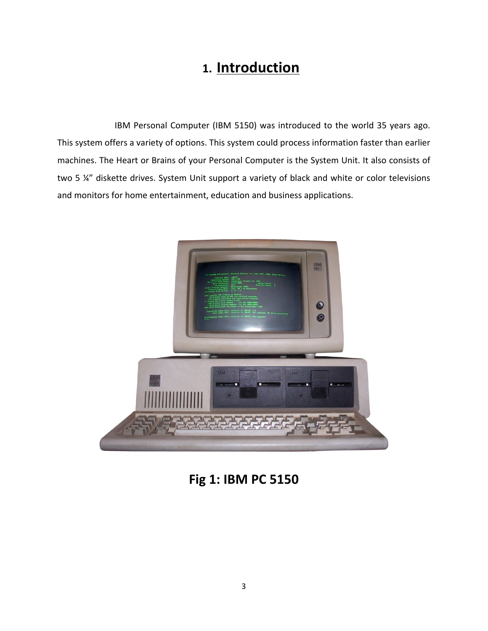# **1. Introduction**

IBM Personal Computer (IBM 5150) was introduced to the world 35 years ago. This system offers a variety of options. This system could process information faster than earlier machines. The Heart or Brains of your Personal Computer is the System Unit. It also consists of two 5 ¼" diskette drives. System Unit support a variety of black and white or color televisions and monitors for home entertainment, education and business applications.



**Fig 1: IBM PC 5150**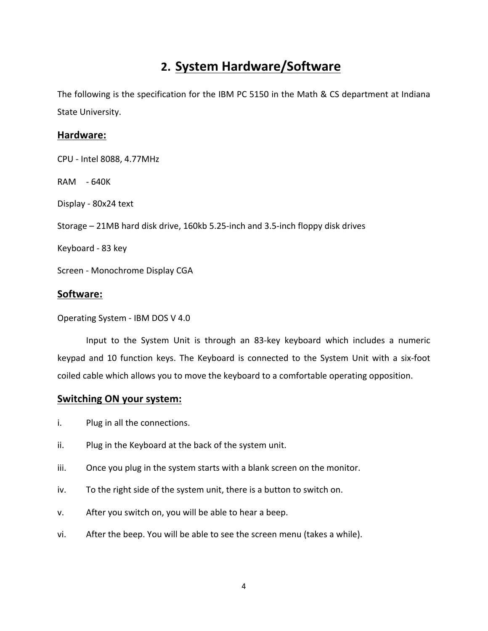## **2. System Hardware/Software**

The following is the specification for the IBM PC 5150 in the Math & CS department at Indiana State University.

#### **Hardware:**

CPU - Intel 8088, 4.77MHz RAM - 640K Display - 80x24 text Storage – 21MB hard disk drive, 160kb 5.25-inch and 3.5-inch floppy disk drives Keyboard - 83 key Screen - Monochrome Display CGA

### **Software:**

Operating System - IBM DOS V 4.0

Input to the System Unit is through an 83-key keyboard which includes a numeric keypad and 10 function keys. The Keyboard is connected to the System Unit with a six-foot coiled cable which allows you to move the keyboard to a comfortable operating opposition.

#### **Switching ON your system:**

- i. Plug in all the connections.
- ii. Plug in the Keyboard at the back of the system unit.
- iii. Once you plug in the system starts with a blank screen on the monitor.
- iv. To the right side of the system unit, there is a button to switch on.
- v. After you switch on, you will be able to hear a beep.
- vi. After the beep. You will be able to see the screen menu (takes a while).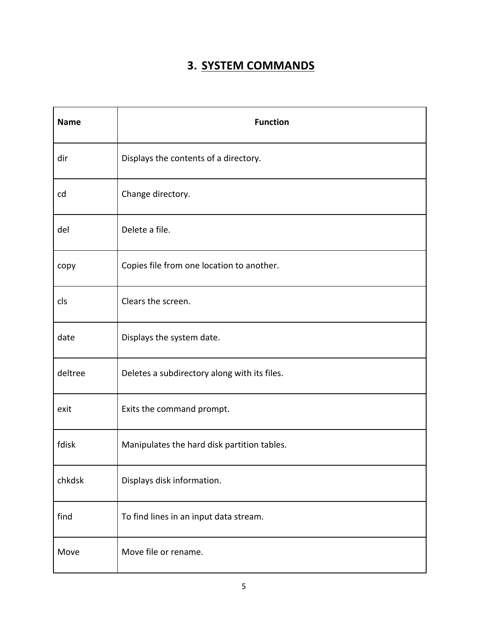## **3. SYSTEM COMMANDS**

| <b>Name</b> | <b>Function</b>                              |
|-------------|----------------------------------------------|
| dir         | Displays the contents of a directory.        |
| cd          | Change directory.                            |
| del         | Delete a file.                               |
| copy        | Copies file from one location to another.    |
| cls         | Clears the screen.                           |
| date        | Displays the system date.                    |
| deltree     | Deletes a subdirectory along with its files. |
| exit        | Exits the command prompt.                    |
| fdisk       | Manipulates the hard disk partition tables.  |
| chkdsk      | Displays disk information.                   |
| find        | To find lines in an input data stream.       |
| Move        | Move file or rename.                         |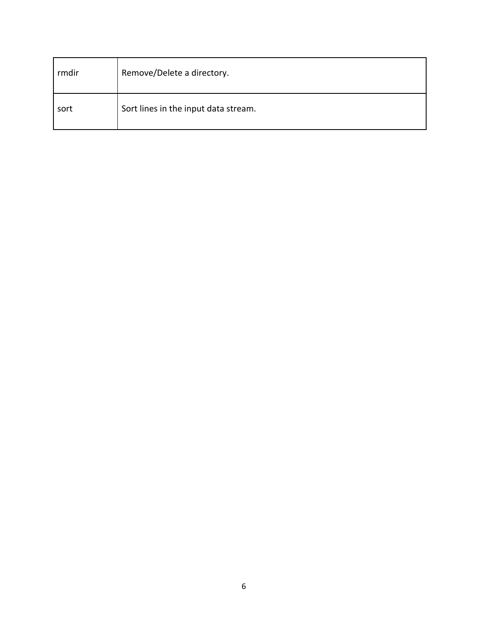| rmdir | Remove/Delete a directory.           |
|-------|--------------------------------------|
| sort  | Sort lines in the input data stream. |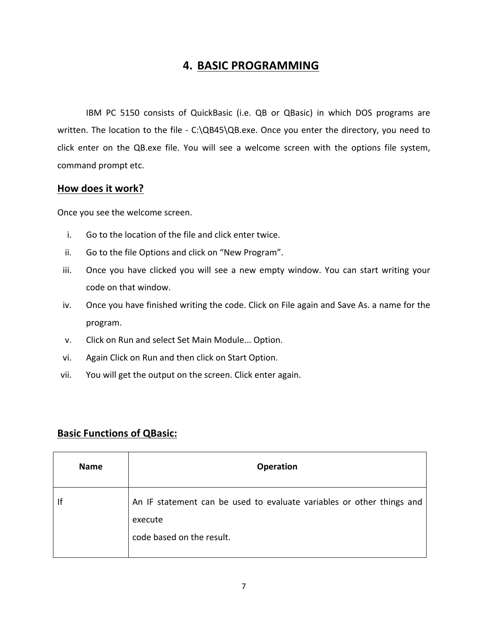## **4. BASIC PROGRAMMING**

IBM PC 5150 consists of QuickBasic (i.e. QB or QBasic) in which DOS programs are written. The location to the file - C:\QB45\QB.exe. Once you enter the directory, you need to click enter on the QB.exe file. You will see a welcome screen with the options file system, command prompt etc.

#### **How does it work?**

Once you see the welcome screen.

- i. Go to the location of the file and click enter twice.
- ii. Go to the file Options and click on "New Program".
- iii. Once you have clicked you will see a new empty window. You can start writing your code on that window.
- iv. Once you have finished writing the code. Click on File again and Save As. a name for the program.
- v. Click on Run and select Set Main Module... Option.
- vi. Again Click on Run and then click on Start Option.
- vii. You will get the output on the screen. Click enter again.

## **Basic Functions of QBasic:**

| <b>Name</b> | <b>Operation</b>                                                                                              |
|-------------|---------------------------------------------------------------------------------------------------------------|
| lf          | An IF statement can be used to evaluate variables or other things and<br>execute<br>code based on the result. |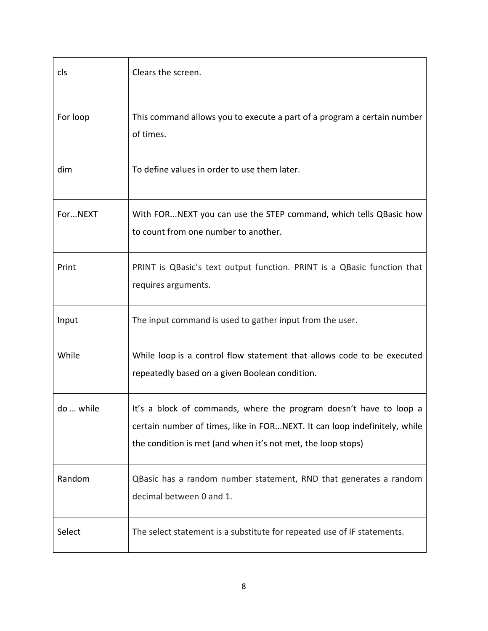| cls       | Clears the screen.                                                                                                                                                                                              |
|-----------|-----------------------------------------------------------------------------------------------------------------------------------------------------------------------------------------------------------------|
| For loop  | This command allows you to execute a part of a program a certain number<br>of times.                                                                                                                            |
| dim       | To define values in order to use them later.                                                                                                                                                                    |
| ForNEXT   | With FORNEXT you can use the STEP command, which tells QBasic how<br>to count from one number to another.                                                                                                       |
| Print     | PRINT is QBasic's text output function. PRINT is a QBasic function that<br>requires arguments.                                                                                                                  |
| Input     | The input command is used to gather input from the user.                                                                                                                                                        |
| While     | While loop is a control flow statement that allows code to be executed<br>repeatedly based on a given Boolean condition.                                                                                        |
| do  while | It's a block of commands, where the program doesn't have to loop a<br>certain number of times, like in FORNEXT. It can loop indefinitely, while<br>the condition is met (and when it's not met, the loop stops) |
| Random    | QBasic has a random number statement, RND that generates a random<br>decimal between 0 and 1.                                                                                                                   |
| Select    | The select statement is a substitute for repeated use of IF statements.                                                                                                                                         |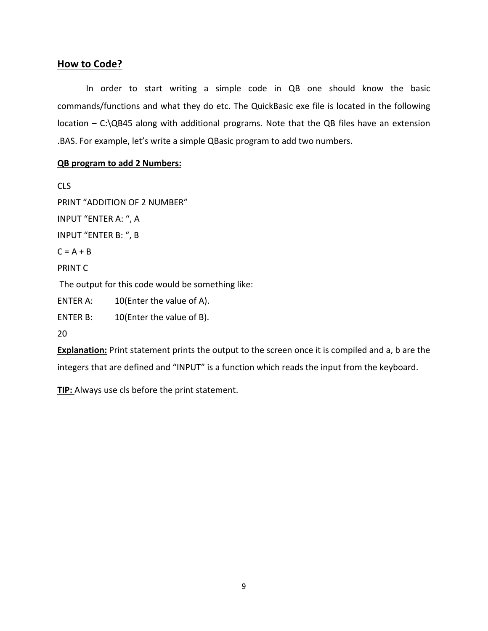#### **How to Code?**

In order to start writing a simple code in QB one should know the basic commands/functions and what they do etc. The QuickBasic exe file is located in the following  $location - C:\QB45$  along with additional programs. Note that the QB files have an extension .BAS. For example, let's write a simple QBasic program to add two numbers.

#### **QB program to add 2 Numbers:**

CLS PRINT "ADDITION OF 2 NUMBER" INPUT "ENTER A: ", A INPUT "ENTER B: ", B  $C = A + B$ PRINT C The output for this code would be something like: ENTER A:  $10$ (Enter the value of A). ENTER B:  $10$ (Enter the value of B). 20

**Explanation:** Print statement prints the output to the screen once it is compiled and a, b are the integers that are defined and "INPUT" is a function which reads the input from the keyboard.

**TIP:** Always use cls before the print statement.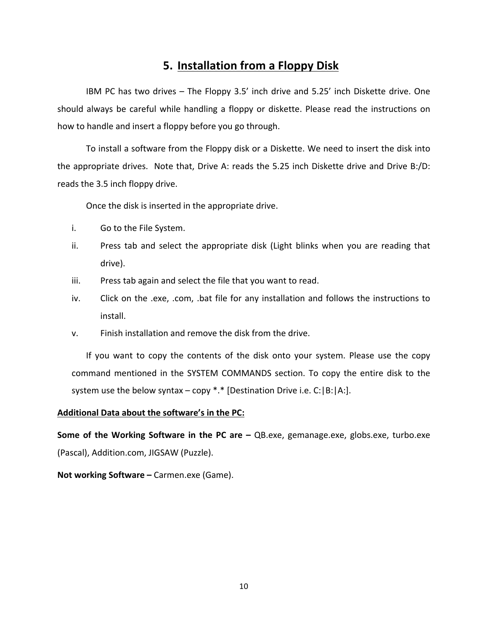## **5. Installation from a Floppy Disk**

IBM PC has two drives  $-$  The Floppy 3.5' inch drive and 5.25' inch Diskette drive. One should always be careful while handling a floppy or diskette. Please read the instructions on how to handle and insert a floppy before you go through.

To install a software from the Floppy disk or a Diskette. We need to insert the disk into the appropriate drives. Note that, Drive A: reads the 5.25 inch Diskette drive and Drive B:/D: reads the 3.5 inch floppy drive.

Once the disk is inserted in the appropriate drive.

- i. Go to the File System.
- ii. Press tab and select the appropriate disk (Light blinks when you are reading that drive).
- iii. Press tab again and select the file that you want to read.
- iv. Click on the .exe, .com, .bat file for any installation and follows the instructions to install.
- v. Finish installation and remove the disk from the drive.

If you want to copy the contents of the disk onto your system. Please use the copy command mentioned in the SYSTEM COMMANDS section. To copy the entire disk to the system use the below syntax – copy \*.\* [Destination Drive i.e. C:  $|B:|A:$ ].

#### Additional Data about the software's in the PC:

**Some of the Working Software in the PC are – QB.exe, gemanage.exe, globs.exe, turbo.exe** (Pascal), Addition.com, JIGSAW (Puzzle).

**Not working Software – Carmen.exe (Game).**